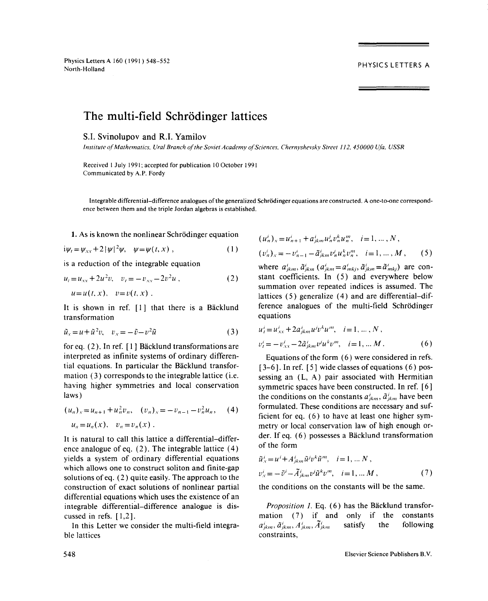Physics Letters A 160 (1991) 548-552 North-Holland

## PHYSICS LETTERS A

## The multi-field Schrödinger lattices

## S.I. Svinolupov and R.I. Yamilov

*Institute ofMathe,natics, UraI Branch of*theSoviet *Academy ofSciences, Chernyshevskv Street 112, 450000 Ufa, USSR*

Received 1 July 1991; accepted for publication 10 October 1991 Communicated by A.P. Fordy

Integrable differential-difference analogues of the generalized Schrödinger equations are constructed. A one-to-one correspondence between them and the triple Jordan algebras is established.

1. As is known the nonlinear Schrödinger equation

$$
i\psi_t = \psi_{xx} + 2|\psi|^2 \psi, \quad \psi = \psi(t, x) , \qquad (1)
$$

$$
u_t = u_{xx} + 2u^2v, \quad v_t = -v_{xx} - 2v^2u,
$$
  
\n
$$
u = u(t, x), \quad v = v(t, x).
$$
 (2)

It is shown in ref. [1] that there is a Bäcklund ference a<br>transformation equation

$$
\tilde{u}_x = u + \tilde{u}^2 v, \quad v_x = -\tilde{v} - v^2 \tilde{u}
$$
\n(3) 
$$
u'_i = u'_{xx} + 2a'_{jkm}u'^j v^k u^m, \quad i = 1, ..., N
$$

for eq. (2). In ref. [1] Bäcklund transformations are interpreted as infinite systems of ordinary differen-<br>Equations of the form (6) were considered in refs. tial equations. In particular the Bäcklund transfor-<br>[3-6]. In ref. [5] wide classes of equations (6) posmation (3) corresponds to the integrable lattice (i.e. sessing an  $(L, A)$  pair associated with Hermitian having higher symmetries and local conservation symmetric spaces have been constructed. In ref. [6]

$$
(u_n)_x = u_{n+1} + u_n^2 v_n, \quad (v_n)_x = -v_{n-1} - v_n^2 u_n, \quad (4)
$$

$$
u_n = u_n(x), \quad v_n = v_n(x) .
$$

It is natural to call this lattice a differential—differ-  $\frac{dE}{dr}$  of the form ence analogue of eq.  $(2)$ . The integrable lattice  $(4)$  $yields a system of ordinary differential equations$ which allows one to construct soliton and finite-gap solutions of eq. (2) quite easily. The approach to the  $\alpha x = \alpha - A_{jkm} a \alpha$ ,  $\beta$ ,  $i = 1, \dots, N$ , construction of exact solutions of nonlinear partial the conditions on the constants will be the same. construction of exact solutions of nonlinear partial differential equations which uses the existence of an differential equations which uses the existence of an

In this Letter we consider the multi-field integra-  $a_{jkm}$ ,  $a_{jkm}$ ,  $A_{jkm}$ ,  $A_{jkm}$ ,  $A_{jkm}$ ,  $A_{jkm}$ ,  $A_{jkm}$ ,  $A_{jkm}$ ,  $A_{jkm}$ ,  $A_{jkm}$ ,  $A_{jkm}$ ,  $A_{jkm}$ ,  $A_{jkm}$ ,  $A_{jkm}$ ,  $A_{jkm}$ ,  $A_{jkm}$ ,  $A_{jkm}$ ,  $A_{jkm}$ ,  $A_{jkm}$ 

$$
\begin{aligned} (u_n^i)_x &= u_{n+1}^i + a_{jkm}^i u_n^j v_n^k u_n^m, \quad i = 1, \dots, N \,, \\ (v_n^i)_x &= -v_{n-1}^i - \tilde{a}_{jkm}^i v_n^j u_n^k v_n^m, \quad i = 1, \dots, M \,, \end{aligned} \tag{5}
$$

is a reduction of the integrable equation where  $a'_{jkm}$ ,  $\tilde{a}^i_{jkm}$   $(a'_{jkm} = a^i_{mkj}, \tilde{a}^i_{jkm} = \tilde{a}^i_{mkj})$  are con*ztant coefficients.* In (5) and everywhere below  $u = u(x, y, v) = v(x, y)$ .  $v = v(x, y)$  . lattices *(5)* summation over repeated indices is assumed. The ference analogues of the multi-field Schrödinger

$$
u'_{i} = u'_{xx} + 2a'_{jkm}u'v^{k}u^{m}, \quad i = 1, ..., N,
$$
  

$$
v'_{i} = -v'_{xx} - 2\tilde{a}'_{jkm}v'u^{k}v^{m}, \quad i = 1, ..., M.
$$
 (6)

laws) the conditions on the constants  $a_{jkm}^i$ ,  $\tilde{a}_{jkm}^i$  have been  $\begin{aligned}\n+u_n^T v_n, \quad (v_n)_x = -v_{n-1} - v_n^T u_n, \\
v_n^T v_n &\to v_{n-1}^T v_n.\n\end{aligned}$  ficient for eq. (6) to have at least one higher symmetry or local conservation law of high enough or-<br>der. If eq. (6) possesses a Bäcklund transformation

$$
\tilde{u}'_x = u^i + A^i_{jkm}\tilde{u}^j v^k \tilde{u}^m, \quad i = 1, \dots N,
$$
  

$$
v'_x = -\tilde{v}^i - \tilde{A}^i_{jkm} v^j \tilde{u}^k v^m, \quad i = 1, \dots M,
$$
 (7)

integrable differential—difference analogue is dis- *Proposition 1.* Eq. (6) has the Bäcklund transforcussed in refs. [1,2].<br>In this Letter we consider the multi-field integra-<br> $a_{jkm}^i$ ,  $\tilde{a}_{jkm}^i$ ,  $A_{jkm}^i$ ,  $\tilde{A}_{jkm}^i$  satisfy the following following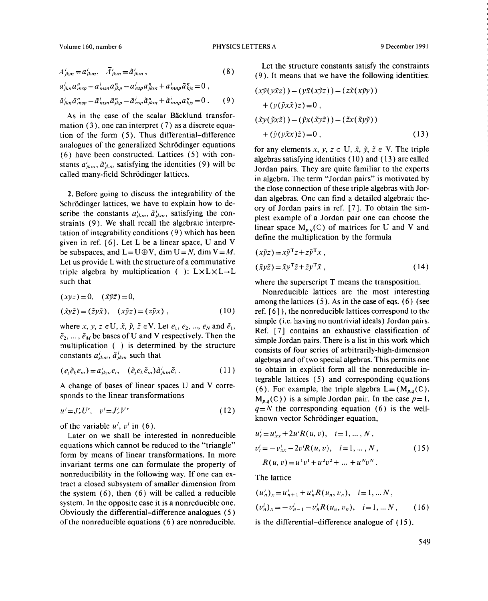$$
A_{jkm}^i = a_{jkm}^i, \quad \tilde{A}_{jkm}^i = \tilde{a}_{jkm}^i,
$$
 (8)

$$
a_{jkn}^i a_{msp}^n - a_{msn}^i a_{jkp}^n - a_{nsp}^i a_{jkm}^n + a_{mnp}^i \tilde{a}_{kjs}^n = 0,
$$
  
\n
$$
\tilde{a}_{jkn}^i \tilde{a}_{msp}^n - \tilde{a}_{msn}^i \tilde{a}_{jkp}^n - \tilde{a}_{nsp}^i \tilde{a}_{jkm}^n + \tilde{a}_{mnp}^i a_{kjs}^n = 0.
$$
\n(9) 
$$
+ \left(\nu(\tilde{\nu} \tilde{\chi}) z\right) = 0
$$

As in the case of the scalar Bäcklund transformation (3), one can interpret (7) as a discrete equation of the form  $(5)$ . Thus differential-difference analogues of the generalized Schrödinger equations for any elements  $x, y, z \in U$ ,  $\tilde{x}, \tilde{y}, \tilde{z} \in V$ . The triple (6) have been constructed. Lattices (5) with con-<br>algebras satisfying identities (10) and (13) are called stants  $a'_{jkm}$ ,  $\tilde{a}'_{jkm}$  satisfying the identities (9) will be Jordan pairs. They are quite familiar to the experts

Schrödinger lattices, we have to explain how to de-<br>ory of Jordan pairs in ref. [7]. To obtain the simscribe the constants  $a_{jkm}^i$ ,  $\tilde{a}_{jkm}^i$ , satisfying the con-<br>plest example of a Jordan pair one can choose the straints (9). We shall recall the algebraic interpre-<br>linear space  $M_{p,q}(\mathbb{C})$  of matrices for U and V and tation of integrability conditions (9) which has been define the multiplication by the formula given in ref. [6]. Let L be a linear space, U and V be subspaces, and  $L=U\oplus V$ , dim  $U=N$ , dim  $V=M$ . Let us provide L with the structure of a commutative triple algebra by multiplication ( ):  $L \times L \times L \rightarrow L$ such that where the superscript T means the transposition.

$$
(xyz) = 0, \quad (\tilde{x}\tilde{y}\tilde{z}) = 0,
$$
  

$$
(\tilde{x}y\tilde{z}) = (\tilde{z}y\tilde{x}), \quad (x\tilde{y}z) = (z\tilde{y}x), \quad (10)
$$

where *x*, *y*, *z*  $\in$  U,  $\tilde{x}$ ,  $\tilde{y}$ ,  $\tilde{z}$   $\in$  V. Let  $e_1$ ,  $e_2$ , ...,  $e_N$  and  $\tilde{e}_1$ , where  $x, y, z \in 0, x, y, z \in V$ . Let  $\epsilon_1, \epsilon_2, ..., \epsilon_N$  and  $\epsilon_1$ ,<br>Ref. [7] contains an exhaustive classification of  $\tilde{e}_2, ..., \tilde{e}_M$  be bases of U and V respectively. Then the  $\epsilon_2$ , ...,  $\epsilon_M$  or bases of U and V respectively. Then the simple Jordan pairs. There is a list in this work which multiplication () is determined by the structure consists of four series of exhitable dimension

$$
(e_j \tilde{e}_k e_m) = a_{jkm}^i e_i, \quad (\tilde{e}_j e_k \tilde{e}_m) \tilde{a}_{jkm}^i \tilde{e}_i. \tag{11}
$$

$$
u'=J'_rU',\quad v'=J'_rV'\tag{12}
$$

of the variable  $u^i$ ,  $v^i$  in (6).

Later on we shall be interested in nonreducible equations which cannot be reduced to the "triangle" form by means of linear transformations. In more form by means of linear transformations. In more<br>invariant terms one can formulate the property of  $R(u, v) = u^1v^1 + u^2v^2 + ... + u^Nv^N$ . invariant terms one can formulate the property of  $R(u, v)$  =<br>nonreducibility in the following way. If one can ex-<br>The lattice tract a closed subsystem of smaller dimension from the system  $(6)$ , then  $(6)$  will be called a reducible system. In the opposite case it is a nonreducible one. Obviously the differential—difference analogues *(5)* ofthe nonreducible equations *(6)* are nonreducible. is the differential—difference analogue of (15).

Let the structure constants satisfy the constraints *<sup>=</sup> ~ <sup>=</sup> ~k,n,* (8) (9). It means that we have the following identities:

$$
(x\tilde{y}(y\tilde{x}z)) - (y\tilde{x}(x\tilde{y}z)) - (z\tilde{x}(x\tilde{y}y))
$$
  
+ 
$$
(y(\tilde{y}x\tilde{x})z) = 0,
$$
  

$$
(\tilde{x}y(\tilde{y}x\tilde{z})) - (\tilde{y}x(\tilde{x}y\tilde{z})) - (\tilde{z}x(\tilde{x}y\tilde{y}))
$$
  
+ 
$$
(\tilde{y}(y\tilde{x}x)\tilde{z}) = 0,
$$
 (13)

called many-field Schrödinger lattices.<br>in algebra. The term "Jordan pairs" is motivated by the close connection of these triple algebras with Jor-2. Before going to discuss the integrability of the dan algebras. One can find a detailed algebraic the-

$$
(x\tilde{y}z) = x\tilde{y}^{\mathsf{T}}z + z\tilde{y}^{\mathsf{T}}x ,
$$
  
\n
$$
(\tilde{x}y\tilde{z}) = \tilde{x}y^{\mathsf{T}}\tilde{z} + \tilde{z}y^{\mathsf{T}}\tilde{x} ,
$$
\n(14)

Nonreducible lattices are the most interesting among the lattices (5). As in the case of eqs. (6) (see *(\*)*  $[6]$  ), the nonreducible lattices correspond to the simple (i.e. having no nontrivial ideals) Jordan pairs. multiplication ( $\gamma$  is determined by the structure consists of four series of arbitrarily-high-dimension constants  $a'_{jkm}$ ,  $\tilde{a}'_{jkm}$  such that algebras and of two special algebras. This permits one algebras and of two special algebras. This permits one  $(e_j e_k e_m) = a_{jkm} e_i$ ,  $(e_j e_k e_m) a_{jkm} e_i$ . (11) to obtain in explicit form all the nonreducible integrable lattices (5) and corresponding equations  $(6)$ . A change of bases of linear spaces U and V corre-<br>sponds to the linear transformations<br> $M_{\ell}(\mathbb{C})$  is a simple lorden pair. In the case  $n-1$  $M_{p,q}(\mathbb{C})$  is a simple Jordan pair. In the case  $p=1$ ,  $q=N$  the corresponding equation (6) is the well- $= J_r'U', v' = J_r'V'$  (12)  $q = N$  the corresponding equation (6) is the well-<br>known vector Schrödinger equation,

$$
u'_{t} = u'_{xx} + 2u'R(u, v), \quad i = 1, ..., N,
$$
  
\n
$$
v'_{t} = -v'_{xx} - 2v'R(u, v), \quad i = 1, ..., N,
$$
  
\n
$$
R(u, v) = u^{1}v^{1} + u^{2}v^{2} + ... + u^{N}v^{N}.
$$
\n(15)

$$
(u_n^i)_x = u_{n+1}^i + u_n^i R(u_n, v_n), \quad i = 1, \dots N,
$$
  
\n
$$
(v_n^i)_x = -v_{n-1}^i - v_n^i R(u_n, v_n), \quad i = 1, \dots N,
$$
 (16)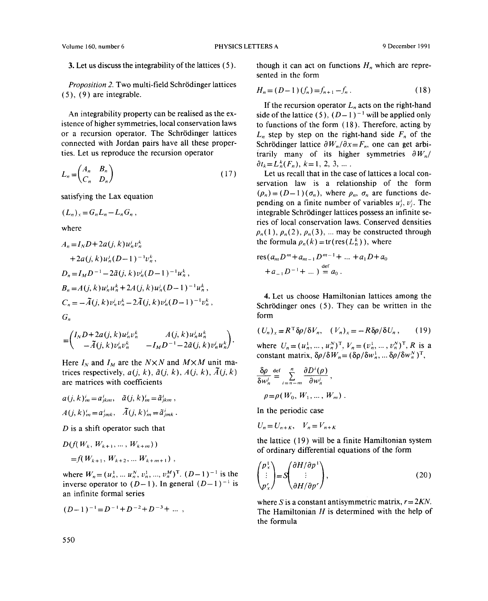*Proposition 2.* Two multi-field Schrödinger lattices (5), (9) are integrable. <br>(5), (9) are integrable. <br>(5),  $\lim_{n \to \infty} H_n = (D-1)(f_n) = f_{n+1} - f_n.$  (18)

An integrability property can be realised as the ex-<br>ide of the lattice (5),  $(D-1)^{-1}$  will be applied only<br>istence of higher symmetries, local conservation laws<br>to functions of the form (18). Therefore, acting by or a recursion operator. The Schrödinger lattices or a recursion operator. The Schrödinger lattices  $L_n$  step by step on the right-hand side  $F_n$  of the connected with Jordan pairs have all these proper-<br>Schrödinger lattice  $\frac{\partial W_n}{\partial x} = F_n$  one can get arbiconnected with Jordan pairs have all these proper-<br>ties. Let us reproduce the recursion operator<br>trarily many of its higher symmetries  $\partial W_{\nu}/\partial x = F_{\nu}$ ,

$$
L_n = \begin{pmatrix} A_n & B_n \\ C_n & D_n \end{pmatrix} \tag{17}
$$

$$
(L_n)_x = G_n L_n - L_n G_n,
$$

where

$$
A_n = I_N D + 2a(j, k)u'_n v'_n
$$
\nthe formula 
$$
p_n(k) = tr(res(L_n^{\circ}))
$$
, where  
\n
$$
+ 2a(j, k)u'_n(D-1)^{-1}v_n^k
$$
,  
\n
$$
D_n = I_M D^{-1} - 2\tilde{a}(j, k)v'_n(D-1)^{-1}u_n^k
$$
,  
\n
$$
B_n = A(j, k)u'_n u_n^k + 2A(j, k)u'_n(D-1)^{-1}u_n^k
$$
,  
\n
$$
C_n = -\tilde{A}(j, k)v'_n v_n^k - 2\tilde{A}(j, k)v'_n(D-1)^{-1}v_n^k
$$
,  
\n
$$
G_n
$$
\nfor  
\n
$$
G_n
$$
\nfor  
\n
$$
G_n
$$
\nfor  
\n
$$
G_n
$$
\nfor  
\n
$$
G_n
$$
\nfor  
\n
$$
G_n
$$
\nfor  
\n
$$
G_n
$$
\nfor  
\n
$$
G_n
$$
\nfor  
\n
$$
G_n
$$
\nfor  
\n
$$
G_n
$$
\nfor  
\n
$$
G_n
$$
\nfor  
\n
$$
G_n
$$
\nfor  
\n
$$
G_n
$$
\nfor  
\n
$$
G_n
$$
\nfor  
\n
$$
G_n
$$
\nfor  
\n
$$
G_n
$$
\nfor  
\n
$$
G_n
$$
\nfor  
\n
$$
G_n
$$
\nfor  
\n
$$
G_n
$$
\nfor  
\n
$$
G_n
$$
\nfor  
\n
$$
G_n
$$
\nfor  
\n
$$
G_n
$$
\nfor  
\n
$$
G_n
$$
\nfor  
\n
$$
G_n
$$
\nfor  
\n
$$
G_n
$$
\nfor  
\n
$$
G_n
$$
\nfor  
\n
$$
G_n
$$
\nfor  
\n
$$
G_n
$$
\nfor  
\n
$$
G_n
$$
\nfor  
\n
$$
G_n
$$
\nfor  
\n
$$
G_n
$$
\nfor  
\n
$$
G_n
$$
\nfor  
\n $$ 

$$
= \begin{pmatrix} I_N D + 2a(j,k)u_n^j v_n^k & A(j,k)u_n^j u_n^k \\ -\tilde{A}(j,k)v_n^j v_n^k & -I_M D^{-1} - 2\tilde{a}(j,k)v_n^j u_n^k \end{pmatrix}.
$$
 (U<sub>n</sub>)<sub>x</sub> = K<sup>+</sup>

Here  $I_N$  and  $I_M$  are the  $N \times N$  and  $M \times M$  unit matrices respectively,  $a(j, k)$ ,  $\tilde{a}(j, k)$ ,  $A(j, k)$ ,  $\tilde{A}(j, k)$   $\frac{1}{\delta}$  $are$  matrices with coefficients

$$
a(j, k)'_m = a'_{jkm}, \quad \tilde{a}(j, k)'_m = \tilde{a}'_{jkm}, \qquad \rho = \rho(W_0, W_1, \dots, A(j, k)'_m = a'_{jmk}, \quad \tilde{A}(j, k)'_m = \tilde{a}'_{jmk}.
$$
\nIn the periodic case

*D* is a shift operator such that

$$
D(f(W_k, W_{k+1}, \dots, W_{k+m}))
$$
  
=  $f(W_{k+1}, W_{k+2}, \dots W_{k+m+1})$ 

where  $W_n = (u_n^*, \dots, u_n^*, v_n^*, \dots, v_n^*)$  $T$ .  $(D-1)^{-1}$  is the inverse operator to  $(D-1)$ . In general  $(D-1)^{-1}$  is an infinite formal series

$$
(D-1)^{-1} = D^{-1} + D^{-2} + D^{-3} + \dots,
$$

3. Let us discuss the integrability of the lattices  $(5)$ . though it can act on functions  $H_n$ , which are represented in the form

$$
H_n = (D-1)(f_n) = f_{n+1} - f_n.
$$
 (18)

If the recursion operator  $L_n$  acts on the right-hand<br>side of the lattice (5),  $(D-1)^{-1}$  will be applied only trarily many of its higher symmetries  $\partial W_n/\partial t_k = L_n^k(F_n)$ ,  $k = 1, 2, 3, ...$ 

Let us recall that in the case of lattices a local conservation law is a relationship of the form  $(\rho_n) = (D-1)(\sigma_n)$ , where  $\rho_n$ ,  $\sigma_n$  are functions desatisfying the Lax equation (perception of  $\theta$ )  $\theta$  are functions of variables  $u^i_j, v^j_j$ . The functions of  $\theta$  integrable Schrödings lattices possess an infinite sequence of variables  $\theta$ .  $(L_n)_x = G_n L_n - L_n G_n$ , integrable Schrodinger lattices possess an infinite series of local conservation laws. Conserved densities the formula  $\rho_n(k) = \text{tr}(\text{res}(L_n^k))$ , where

res
$$
(a_m D^m + a_{m-1} D^{m-1} + ... + a_1 D + a_0
$$
  
+  $a_{-1} D^{-1} + ...$   $)= a_0$ .

4. Let us choose Hamiltonian lattices among the **Schrödinger ones (5). They can be written in the** 

$$
(U_n)_x = R^{\mathrm{T}} \delta \rho / \delta V_n, \quad (V_n)_x = -R \delta \rho / \delta U_n, \qquad (19)
$$

where  $U_n = (u_n^1, \ldots, u_n^N)^T$ ,  $V_n = (v_n^1, \ldots, v_n^N)^T$ , *R* is a constant matrix,  $\delta \rho / \delta W_n = (\delta \rho / \delta w_n^1, \dots \delta \rho / \delta w_n^N)^T$ ,

$$
\frac{\delta \rho}{\delta w'_n} \stackrel{\text{def}}{=} \sum_{i=n-m}^n \frac{\partial D^i(\rho)}{\partial w'_n},
$$
  

$$
\rho = \rho(W_0, W_1, \dots, W_m) .
$$

$$
U_n = U_{n+K}, \quad V_n = V_{n+K}
$$

 $D(f(W_k, W_{k+1},..., W_{k+m}))$ <br>
of ordinary differential equations of the form<br>  $-f(W_k, W_{k+1},..., W_{k+m})$ 

$$
\begin{pmatrix} p_x^1 \\ \vdots \\ p_x^r \end{pmatrix} = S \begin{pmatrix} \partial H / \partial p^1 \\ \vdots \\ \partial H / \partial p^r \end{pmatrix},
$$
\n(20)

where S is a constant antisymmetric matrix,  $r=2KN$ .<br>The Hamiltonian H is determined with the help of The Hamiltonian  $H$  is determined with the help of the formula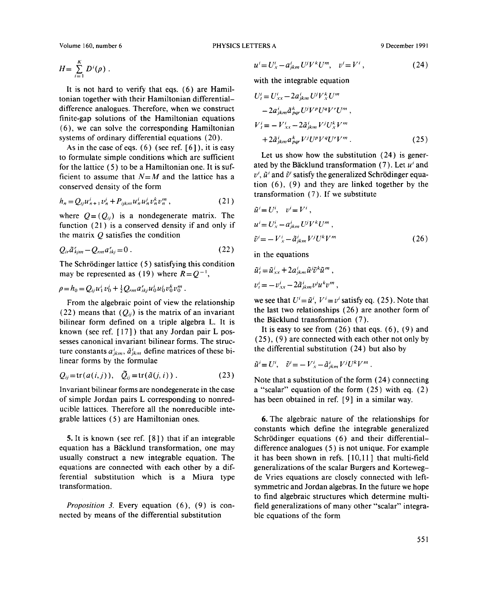$$
H=\sum_{i=1}^K D^i(\rho).
$$

It is not hard to verify that eqs. (6) are Hamiltonian together with their Hamiltonian differentialdifference analogues. Therefore, when we construct finite-gap solutions of the Hamiltonian equations  $(6)$ , we can solve the corresponding Hamiltonian systems of ordinary differential equations (20).

As in the case of eqs. (6) (see ref. *[6]),* it is easy to formulate simple conditions which are sufficient Let us show how the substitution (24) is generfor the lattice  $(5)$  to be a Hamiltonian one. It is suf-<br>ated by the Bäcklund transformation  $(7)$ . Let  $u<sup>i</sup>$  and ficient to assume that  $N=M$  and the lattice has a  $v^i$ ,  $\tilde{u}^i$  and  $\tilde{v}^i$  satisfy the generalized Schrödinger equaconserved density of the form tion  $(6)$ ,  $(9)$  and they are linked together by the

$$
h_n = Q_{ij} u'_{n+1} v'_n + P_{ijkm} u'_n u'_n v''_n v''_n , \qquad (21)
$$

where  $Q = (Q_{ii})$  is a nondegenerate matrix. The function (21) is a conserved density if and only if  $u' = U_x^i - a_{jkm}^i U^j V^k U^m$ , the matrix Q satisfies the condition

$$
Q_{ir}\tilde{a}_{kjm}^r - Q_{rm}a_{ikj}^r = 0.
$$

The Schrödinger lattice (5) satisfying this condition may be represented as (19) where  $R=Q^{-1}$ ,

$$
\rho = h_0 = Q_{ij} u_1^i v_0^j + \frac{1}{2} Q_{rm} a_{ikj}^r u_0^i u_0^j v_0^k v_0^m.
$$
\n
$$
v_t^i = -v_{xx}^i - 2 \tilde{a}_{jkm}^i v^j u^k v^m
$$

From the algebraic point of view the relationship (22) means that  $(Q_{ij})$  is the matrix of an invariant bilinear form defined on a triple algebra L. It is the Bäcklund transformation (7). known (see ref.  $[17]$ ) that any Jordan pair L pos-<br>It is easy to see from  $(26)$  that eqs.  $(6)$ ,  $(9)$  and sesses canonical invariant bilinear forms. The struc- (25), (9) are connected with each other not only by ture constants *al*<sub>k</sub>,  $\frac{1}{2}$  $j_{km}$  define matrices of these bi- the differential substitution (24) but also by linear forms by the formulae.

$$
Q_{ij} = \text{tr}(a(i,j)), \quad \tilde{Q}_{ij} = \text{tr}(\tilde{a}(j,i))\,. \tag{23}
$$

of simple Jordan pairs L corresponding to nonreducible lattices. Therefore all the nonreducible inte-

5. It is known (see ref. [8]) that if an integrable Schrödinger equations (6) and their differential-<br>equation has a Bäcklund transformation, one may difference analogues (5) is not unique. For example equation has a Bäcklund transformation, one may difference analogues (5) is not unique. For example usually construct a new integrable equation. The it has been shown in refs. [10,11] that multi-field usually construct a new integrable equation. The it has been shown in refs. [10,11] that multi-field equations are connected with each other by a dif-<br>generalizations of the scalar Burgers and Kortewegequations are connected with each other by a dif-<br>ferential substitution which is a Miura type de Vries equations are closely connected with leftferential substitution which is a Miura type de Vries equations are closely connected with left-

nected by means of the differential substitution

$$
u^{i} = U_{x}^{i} - a_{jkm}^{i} U^{j} V^{k} U^{m}, \quad v^{i} = V^{i}, \tag{24}
$$

with the integrable equation

$$
U'_{i} = U'_{xx} - 2a'_{jkm} U^{j} V^{k}_{x} U^{m}
$$
  
\n
$$
- 2a'_{jkm} \tilde{a}^{k}_{pqr} U^{j} V^{p} U^{q} V^{r} U^{m},
$$
  
\n
$$
V'_{i} = -V'_{xx} - 2\tilde{a}'_{jkm} V^{j} U^{k}_{x} V^{m}
$$
  
\n
$$
+ 2\tilde{a}'_{jkm} a^{k}_{pqr} V^{j} U^{p} V^{q} U^{r} V^{m}.
$$
\n(25)

transformation (7). If we substitute

$$
\tilde{u}^{i} = U^{i}, \quad v^{i} = V^{i},
$$
  
\n
$$
u^{i} = U_{x}^{i} - a_{jkm}^{i} U^{j} V^{k} U^{m},
$$
  
\n
$$
\tilde{v}^{i} = - V_{x}^{i} - \tilde{a}_{jkm}^{i} V^{j} U^{k} V^{m}
$$
\n(26)

in the equations

$$
\tilde{u}_t^i = \tilde{u}_{xx}^i + 2a_{jkm}^i \tilde{u}^j \tilde{v}^k \tilde{u}^m ,
$$
  

$$
v_t^i = -v_{xx}^i - 2\tilde{a}_{jkm}^i v^j u^k v^m ,
$$

we see that  $U' = \tilde{u}'$ ,  $V' = v'$  satisfy eq. (25). Note that the last two relationships  $(26)$  are another form of

$$
\tilde{u}^i = U^i, \quad \tilde{v}^i = -V^i_{x} - \tilde{a}^i_{jkm} V^j U^k V^m
$$

Note that a substitution of the form (24) connecting Invariant bilinear forms are nondegenerate in the case a "scalar" equation of the form (25) with eq. (2) of simple Jordan pairs L corresponding to nonred-<br>has been obtained in ref. [9] in a similar way.

6. The algebraic nature of the relationships for constants which define the integrable generalized symmetric and Jordan algebras. In the future we hope to find algebraic structures which determine multi-*Proposition* 3. Every equation (6), (9) is con-<br>
Field generalizations of many other "scalar" integra-<br>
tele quations of the form